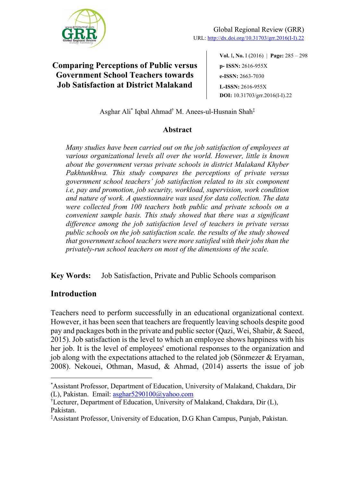

**Vol.** I**, No.** I (2016) | **Page:** 285 ‒ 298 **p- ISSN:** 2616-955X **e-ISSN:** 2663-7030 **L-ISSN:** 2616-955X **DOI:** 10.31703/grr.2016(I-I).22

Asghar Ali\* Iqbal Ahmad† M. Anees-ul-Husnain Shah‡

### **Abstract**

*Many studies have been carried out on the job satisfaction of employees at various organizational levels all over the world. However, little is known about the government versus private schools in district Malakand Khyber Pakhtunkhwa. This study compares the perceptions of private versus government school teachers' job satisfaction related to its six component i.e, pay and promotion, job security, workload, supervision, work condition and nature of work. A questionnaire was used for data collection. The data were collected from 100 teachers both public and private schools on a convenient sample basis. This study showed that there was a significant difference among the job satisfaction level of teachers in private versus public schools on the job satisfaction scale. the results of the study showed that government school teachers were more satisfied with their jobs than the privately-run school teachers on most of the dimensions of the scale.* 

**Key Words:** Job Satisfaction, Private and Public Schools comparison

## **Introduction**

Teachers need to perform successfully in an educational organizational context. However, it has been seen that teachers are frequently leaving schools despite good pay and packages both in the private and public sector (Qazi, Wei, Shabir, & Saeed, 2015). Job satisfaction is the level to which an employee shows happiness with his her job. It is the level of employees' emotional responses to the organization and job along with the expectations attached to the related job (Sönmezer & Eryaman, 2008). Nekouei, Othman, Masud, & Ahmad, (2014) asserts the issue of job

<sup>\*</sup> Assistant Professor, Department of Education, University of Malakand, Chakdara, Dir (L), Pakistan. Email: asghar5290100@yahoo.com

<sup>†</sup> Lecturer, Department of Education, University of Malakand, Chakdara, Dir (L), Pakistan.

<sup>‡</sup> Assistant Professor, University of Education, D.G Khan Campus, Punjab, Pakistan.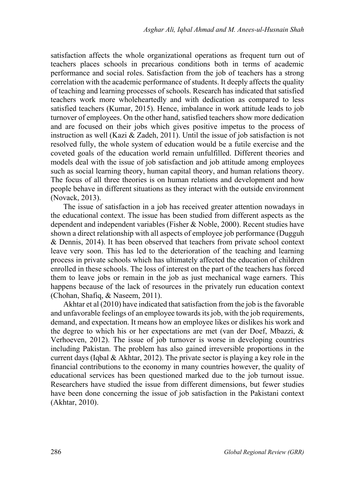satisfaction affects the whole organizational operations as frequent turn out of teachers places schools in precarious conditions both in terms of academic performance and social roles. Satisfaction from the job of teachers has a strong correlation with the academic performance of students. It deeply affects the quality of teaching and learning processes of schools. Research has indicated that satisfied teachers work more wholeheartedly and with dedication as compared to less satisfied teachers (Kumar, 2015). Hence, imbalance in work attitude leads to job turnover of employees. On the other hand, satisfied teachers show more dedication and are focused on their jobs which gives positive impetus to the process of instruction as well (Kazi & Zadeh, 2011). Until the issue of job satisfaction is not resolved fully, the whole system of education would be a futile exercise and the coveted goals of the education world remain unfulfilled. Different theories and models deal with the issue of job satisfaction and job attitude among employees such as social learning theory, human capital theory, and human relations theory. The focus of all three theories is on human relations and development and how people behave in different situations as they interact with the outside environment (Novack, 2013).

The issue of satisfaction in a job has received greater attention nowadays in the educational context. The issue has been studied from different aspects as the dependent and independent variables (Fisher & Noble, 2000). Recent studies have shown a direct relationship with all aspects of employee job performance (Dugguh & Dennis, 2014). It has been observed that teachers from private school context leave very soon. This has led to the deterioration of the teaching and learning process in private schools which has ultimately affected the education of children enrolled in these schools. The loss of interest on the part of the teachers has forced them to leave jobs or remain in the job as just mechanical wage earners. This happens because of the lack of resources in the privately run education context (Chohan, Shafiq, & Naseem, 2011).

Akhtar et al (2010) have indicated that satisfaction from the job is the favorable and unfavorable feelings of an employee towards its job, with the job requirements, demand, and expectation. It means how an employee likes or dislikes his work and the degree to which his or her expectations are met (van der Doef, Mbazzi, & Verhoeven, 2012). The issue of job turnover is worse in developing countries including Pakistan. The problem has also gained irreversible proportions in the current days (Iqbal & Akhtar, 2012). The private sector is playing a key role in the financial contributions to the economy in many countries however, the quality of educational services has been questioned marked due to the job turnout issue. Researchers have studied the issue from different dimensions, but fewer studies have been done concerning the issue of job satisfaction in the Pakistani context (Akhtar, 2010).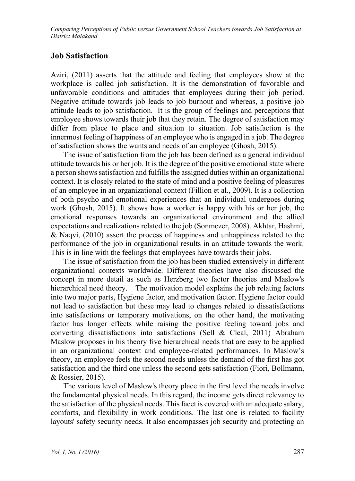### **Job Satisfaction**

Aziri, (2011) asserts that the attitude and feeling that employees show at the workplace is called job satisfaction. It is the demonstration of favorable and unfavorable conditions and attitudes that employees during their job period. Negative attitude towards job leads to job burnout and whereas, a positive job attitude leads to job satisfaction. It is the group of feelings and perceptions that employee shows towards their job that they retain. The degree of satisfaction may differ from place to place and situation to situation. Job satisfaction is the innermost feeling of happiness of an employee who is engaged in a job. The degree of satisfaction shows the wants and needs of an employee (Ghosh, 2015).

The issue of satisfaction from the job has been defined as a general individual attitude towards his or her job. It is the degree of the positive emotional state where a person shows satisfaction and fulfills the assigned duties within an organizational context. It is closely related to the state of mind and a positive feeling of pleasures of an employee in an organizational context (Fillion et al., 2009). It is a collection of both psycho and emotional experiences that an individual undergoes during work (Ghosh, 2015). It shows how a worker is happy with his or her job, the emotional responses towards an organizational environment and the allied expectations and realizations related to the job (Sonmezer, 2008). Akhtar, Hashmi, & Naqvi, (2010) assert the process of happiness and unhappiness related to the performance of the job in organizational results in an attitude towards the work. This is in line with the feelings that employees have towards their jobs.

The issue of satisfaction from the job has been studied extensively in different organizational contexts worldwide. Different theories have also discussed the concept in more detail as such as Herzberg two factor theories and Maslow's hierarchical need theory. The motivation model explains the job relating factors into two major parts, Hygiene factor, and motivation factor. Hygiene factor could not lead to satisfaction but these may lead to changes related to dissatisfactions into satisfactions or temporary motivations, on the other hand, the motivating factor has longer effects while raising the positive feeling toward jobs and converting dissatisfactions into satisfactions (Sell & Cleal, 2011) Abraham Maslow proposes in his theory five hierarchical needs that are easy to be applied in an organizational context and employee-related performances. In Maslow's theory, an employee feels the second needs unless the demand of the first has got satisfaction and the third one unless the second gets satisfaction (Fiori, Bollmann, & Rossier, 2015).

The various level of Maslow's theory place in the first level the needs involve the fundamental physical needs. In this regard, the income gets direct relevancy to the satisfaction of the physical needs. This facet is covered with an adequate salary, comforts, and flexibility in work conditions. The last one is related to facility layouts' safety security needs. It also encompasses job security and protecting an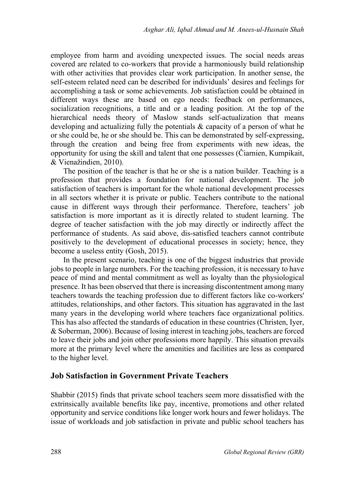employee from harm and avoiding unexpected issues. The social needs areas covered are related to co-workers that provide a harmoniously build relationship with other activities that provides clear work participation. In another sense, the self-esteem related need can be described for individuals' desires and feelings for accomplishing a task or some achievements. Job satisfaction could be obtained in different ways these are based on ego needs: feedback on performances, socialization recognitions, a title and or a leading position. At the top of the hierarchical needs theory of Maslow stands self-actualization that means developing and actualizing fully the potentials & capacity of a person of what he or she could be, he or she should be. This can be demonstrated by self-expressing, through the creation and being free from experiments with new ideas, the opportunity for using the skill and talent that one possesses (Čiarnien, Kumpikait, & Vienažindien, 2010).

The position of the teacher is that he or she is a nation builder. Teaching is a profession that provides a foundation for national development. The job satisfaction of teachers is important for the whole national development processes in all sectors whether it is private or public. Teachers contribute to the national cause in different ways through their performance. Therefore, teachers' job satisfaction is more important as it is directly related to student learning. The degree of teacher satisfaction with the job may directly or indirectly affect the performance of students. As said above, dis-satisfied teachers cannot contribute positively to the development of educational processes in society; hence, they become a useless entity (Gosh, 2015).

In the present scenario, teaching is one of the biggest industries that provide jobs to people in large numbers. For the teaching profession, it is necessary to have peace of mind and mental commitment as well as loyalty than the physiological presence. It has been observed that there is increasing discontentment among many teachers towards the teaching profession due to different factors like co-workers' attitudes, relationships, and other factors. This situation has aggravated in the last many years in the developing world where teachers face organizational politics. This has also affected the standards of education in these countries (Christen, Iyer, & Soberman, 2006). Because of losing interest in teaching jobs, teachers are forced to leave their jobs and join other professions more happily. This situation prevails more at the primary level where the amenities and facilities are less as compared to the higher level.

#### **Job Satisfaction in Government Private Teachers**

Shabbir (2015) finds that private school teachers seem more dissatisfied with the extrinsically available benefits like pay, incentive, promotions and other related opportunity and service conditions like longer work hours and fewer holidays. The issue of workloads and job satisfaction in private and public school teachers has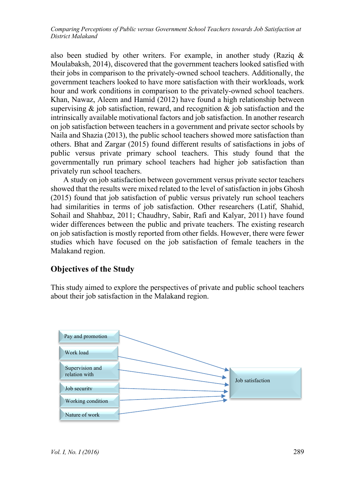also been studied by other writers. For example, in another study (Raziq  $\&$ Moulabaksh, 2014), discovered that the government teachers looked satisfied with their jobs in comparison to the privately-owned school teachers. Additionally, the government teachers looked to have more satisfaction with their workloads, work hour and work conditions in comparison to the privately-owned school teachers. Khan, Nawaz, Aleem and Hamid (2012) have found a high relationship between supervising  $\&$  job satisfaction, reward, and recognition  $\&$  job satisfaction and the intrinsically available motivational factors and job satisfaction. In another research on job satisfaction between teachers in a government and private sector schools by Naila and Shazia (2013), the public school teachers showed more satisfaction than others. Bhat and Zargar (2015) found different results of satisfactions in jobs of public versus private primary school teachers. This study found that the governmentally run primary school teachers had higher job satisfaction than privately run school teachers.

A study on job satisfaction between government versus private sector teachers showed that the results were mixed related to the level of satisfaction in jobs Ghosh (2015) found that job satisfaction of public versus privately run school teachers had similarities in terms of job satisfaction. Other researchers (Latif, Shahid, Sohail and Shahbaz, 2011; Chaudhry, Sabir, Rafi and Kalyar, 2011) have found wider differences between the public and private teachers. The existing research on job satisfaction is mostly reported from other fields. However, there were fewer studies which have focused on the job satisfaction of female teachers in the Malakand region.

## **Objectives of the Study**

This study aimed to explore the perspectives of private and public school teachers about their job satisfaction in the Malakand region.

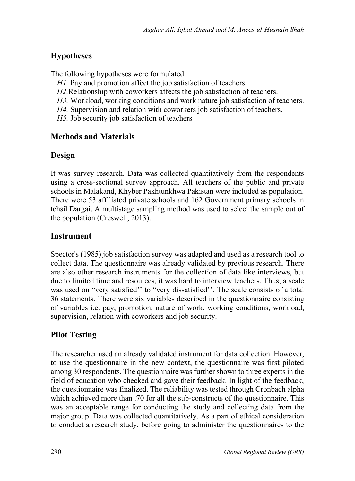# **Hypotheses**

The following hypotheses were formulated.

- *H1*. Pay and promotion affect the job satisfaction of teachers.
- *H2.*Relationship with coworkers affects the job satisfaction of teachers.
- *H3.* Workload, working conditions and work nature job satisfaction of teachers.
- *H4.* Supervision and relation with coworkers job satisfaction of teachers.
- *H5.* Job security job satisfaction of teachers

# **Methods and Materials**

# **Design**

It was survey research. Data was collected quantitatively from the respondents using a cross-sectional survey approach. All teachers of the public and private schools in Malakand, Khyber Pakhtunkhwa Pakistan were included as population. There were 53 affiliated private schools and 162 Government primary schools in tehsil Dargai. A multistage sampling method was used to select the sample out of the population (Creswell, 2013).

# **Instrument**

Spector's (1985) job satisfaction survey was adapted and used as a research tool to collect data. The questionnaire was already validated by previous research. There are also other research instruments for the collection of data like interviews, but due to limited time and resources, it was hard to interview teachers. Thus, a scale was used on "very satisfied" to "very dissatisfied". The scale consists of a total 36 statements. There were six variables described in the questionnaire consisting of variables i.e. pay, promotion, nature of work, working conditions, workload, supervision, relation with coworkers and job security.

# **Pilot Testing**

The researcher used an already validated instrument for data collection. However, to use the questionnaire in the new context, the questionnaire was first piloted among 30 respondents. The questionnaire was further shown to three experts in the field of education who checked and gave their feedback. In light of the feedback, the questionnaire was finalized. The reliability was tested through Cronbach alpha which achieved more than .70 for all the sub-constructs of the questionnaire. This was an acceptable range for conducting the study and collecting data from the major group. Data was collected quantitatively. As a part of ethical consideration to conduct a research study, before going to administer the questionnaires to the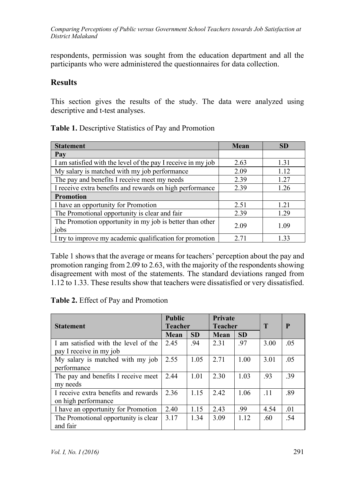respondents, permission was sought from the education department and all the participants who were administered the questionnaires for data collection.

### **Results**

This section gives the results of the study. The data were analyzed using descriptive and t-test analyses.

| <b>Statement</b>                                                 | Mean | <b>SD</b> |
|------------------------------------------------------------------|------|-----------|
| Pay                                                              |      |           |
| I am satisfied with the level of the pay I receive in my job     | 2.63 | 1.31      |
| My salary is matched with my job performance                     | 2.09 | 1.12      |
| The pay and benefits I receive meet my needs                     | 2.39 | 1.27      |
| I receive extra benefits and rewards on high performance         | 2.39 | 1.26      |
| <b>Promotion</b>                                                 |      |           |
| I have an opportunity for Promotion                              | 2.51 | 1.21      |
| The Promotional opportunity is clear and fair                    | 2.39 | 1.29      |
| The Promotion opportunity in my job is better than other<br>jobs | 2.09 | 1.09      |
| I try to improve my academic qualification for promotion         | 2.71 | 1.33      |

**Table 1.** Descriptive Statistics of Pay and Promotion

Table 1 shows that the average or means for teachers' perception about the pay and promotion ranging from 2.09 to 2.63, with the majority of the respondents showing disagreement with most of the statements. The standard deviations ranged from 1.12 to 1.33. These results show that teachers were dissatisfied or very dissatisfied.

**Table 2.** Effect of Pay and Promotion

| <b>Statement</b>                     | <b>Public</b><br><b>Teacher</b> |           | <b>Private</b><br><b>Teacher</b> |           | T    | P   |
|--------------------------------------|---------------------------------|-----------|----------------------------------|-----------|------|-----|
|                                      | Mean                            | <b>SD</b> | <b>Mean</b>                      | <b>SD</b> |      |     |
| I am satisfied with the level of the | 2.45                            | .94       | 2.31                             | .97       | 3.00 | .05 |
| pay I receive in my job              |                                 |           |                                  |           |      |     |
| My salary is matched with my job     | 2.55                            | 1.05      | 2.71                             | 1.00      | 3.01 | .05 |
| performance                          |                                 |           |                                  |           |      |     |
| The pay and benefits I receive meet  | 2.44                            | 1.01      | 2.30                             | 1.03      | .93  | .39 |
| my needs                             |                                 |           |                                  |           |      |     |
| I receive extra benefits and rewards | 2.36                            | 1.15      | 2.42                             | 1.06      | .11  | .89 |
| on high performance                  |                                 |           |                                  |           |      |     |
| I have an opportunity for Promotion  | 2.40                            | 1.15      | 2.43                             | .99       | 4.54 | .01 |
| The Promotional opportunity is clear | 3.17                            | 1.34      | 3.09                             | 1.12      | .60  | .54 |
| and fair                             |                                 |           |                                  |           |      |     |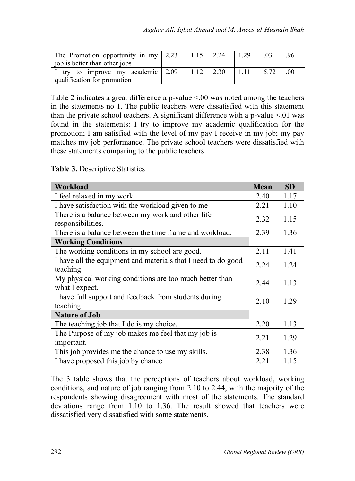| The Promotion opportunity in my $\vert 2.23 \vert 1.15 \vert 2.24 \vert$<br>job is better than other jobs |                 | 1.29    | .96 |
|-----------------------------------------------------------------------------------------------------------|-----------------|---------|-----|
| I try to improve my academic 2.09                                                                         | $1.12 \pm 2.30$ | $-1.11$ |     |
| qualification for promotion                                                                               |                 |         |     |

Table 2 indicates a great difference a p-value <.00 was noted among the teachers in the statements no 1. The public teachers were dissatisfied with this statement than the private school teachers. A significant difference with a p-value  $\leq 01$  was found in the statements: I try to improve my academic qualification for the promotion; I am satisfied with the level of my pay I receive in my job; my pay matches my job performance. The private school teachers were dissatisfied with these statements comparing to the public teachers.

**Table 3.** Descriptive Statistics

| Workload                                                                  | <b>Mean</b> | <b>SD</b> |
|---------------------------------------------------------------------------|-------------|-----------|
| I feel relaxed in my work.                                                | 2.40        | 1.17      |
| I have satisfaction with the workload given to me                         | 2.21        | 1.10      |
| There is a balance between my work and other life<br>responsibilities.    | 2.32        | 1.15      |
| There is a balance between the time frame and workload.                   | 2.39        | 1.36      |
| <b>Working Conditions</b>                                                 |             |           |
| The working conditions in my school are good.                             | 2.11        | 1.41      |
| I have all the equipment and materials that I need to do good<br>teaching | 2.24        | 1.24      |
| My physical working conditions are too much better than<br>what I expect. | 2.44        | 1.13      |
| I have full support and feedback from students during<br>teaching.        | 2.10        | 1.29      |
| <b>Nature of Job</b>                                                      |             |           |
| The teaching job that I do is my choice.                                  | 2.20        | 1.13      |
| The Purpose of my job makes me feel that my job is<br>important.          | 2.21        | 1.29      |
| This job provides me the chance to use my skills.                         | 2.38        | 1.36      |
| I have proposed this job by chance.                                       | 2.21        | 1.15      |

The 3 table shows that the perceptions of teachers about workload, working conditions, and nature of job ranging from 2.10 to 2.44, with the majority of the respondents showing disagreement with most of the statements. The standard deviations range from 1.10 to 1.36. The result showed that teachers were dissatisfied very dissatisfied with some statements.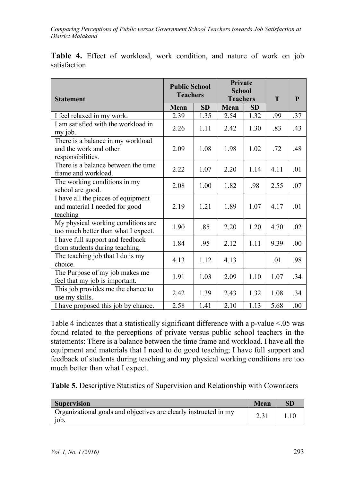| <b>Statement</b>                                                                 | <b>Public School</b><br><b>Teachers</b> |           | <b>Private</b><br><b>School</b><br><b>Teachers</b> |           |      | P   |
|----------------------------------------------------------------------------------|-----------------------------------------|-----------|----------------------------------------------------|-----------|------|-----|
|                                                                                  | Mean                                    | <b>SD</b> | Mean                                               | <b>SD</b> |      |     |
| I feel relaxed in my work.                                                       | 2.39                                    | 1.35      | 2.54                                               | 1.32      | .99  | .37 |
| I am satisfied with the workload in<br>my job.                                   | 2.26                                    | 1.11      | 2.42                                               | 1.30      | .83  | .43 |
| There is a balance in my workload<br>and the work and other<br>responsibilities. | 2.09                                    | 1.08      | 1.98                                               | 1.02      | .72  | .48 |
| There is a balance between the time<br>frame and workload.                       | 2.22                                    | 1.07      | 2.20                                               | 1.14      | 4.11 | .01 |
| The working conditions in my<br>school are good.                                 | 2.08                                    | 1.00      | 1.82                                               | .98       | 2.55 | .07 |
| I have all the pieces of equipment<br>and material I needed for good<br>teaching | 2.19                                    | 1.21      | 1.89                                               | 1.07      | 4.17 | .01 |
| My physical working conditions are<br>too much better than what I expect.        | 1.90                                    | .85       | 2.20                                               | 1.20      | 4.70 | .02 |
| I have full support and feedback<br>from students during teaching.               | 1.84                                    | .95       | 2.12                                               | 1.11      | 9.39 | .00 |
| The teaching job that I do is my<br>choice.                                      | 4.13                                    | 1.12      | 4.13                                               |           | .01  | .98 |
| The Purpose of my job makes me<br>feel that my job is important.                 | 1.91                                    | 1.03      | 2.09                                               | 1.10      | 1.07 | .34 |
| This job provides me the chance to<br>use my skills.                             | 2.42                                    | 1.39      | 2.43                                               | 1.32      | 1.08 | .34 |
| I have proposed this job by chance.                                              | 2.58                                    | 1.41      | 2.10                                               | 1.13      | 5.68 | .00 |

**Table 4.** Effect of workload, work condition, and nature of work on job satisfaction

Table 4 indicates that a statistically significant difference with a p-value  $\leq 05$  was found related to the perceptions of private versus public school teachers in the statements: There is a balance between the time frame and workload. I have all the equipment and materials that I need to do good teaching; I have full support and feedback of students during teaching and my physical working conditions are too much better than what I expect.

**Table 5.** Descriptive Statistics of Supervision and Relationship with Coworkers

| <b>Supervision</b>                                                                  | Mean |  |
|-------------------------------------------------------------------------------------|------|--|
| Organizational goals and objectives are clearly instructed in my<br>10 <sub>b</sub> |      |  |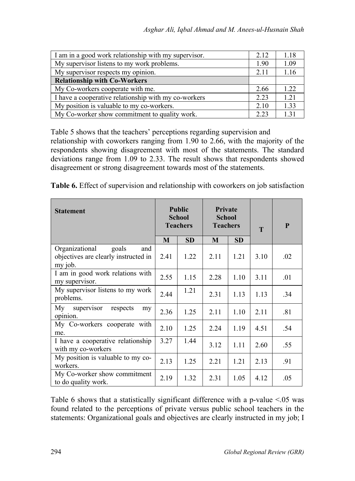| I am in a good work relationship with my supervisor. | 2.12 | 1.18  |
|------------------------------------------------------|------|-------|
| My supervisor listens to my work problems.           | 1.90 | 1.09  |
| My supervisor respects my opinion.                   | 2.11 | 1.16  |
| <b>Relationship with Co-Workers</b>                  |      |       |
| My Co-workers cooperate with me.                     | 2.66 | 1.22. |
| I have a cooperative relationship with my co-workers | 2.23 | 1.21  |
| My position is valuable to my co-workers.            | 2.10 | 1.33  |
| My Co-worker show commitment to quality work.        | 2.23 | 1.31  |

Table 5 shows that the teachers' perceptions regarding supervision and relationship with coworkers ranging from 1.90 to 2.66, with the majority of the respondents showing disagreement with most of the statements. The standard deviations range from 1.09 to 2.33. The result shows that respondents showed disagreement or strong disagreement towards most of the statements.

**Table 6.** Effect of supervision and relationship with coworkers on job satisfaction

| <b>Statement</b>                                                                  | <b>Public</b><br><b>School</b><br><b>Teachers</b> |           | <b>Private</b><br><b>School</b><br><b>Teachers</b> |           | T    | P   |
|-----------------------------------------------------------------------------------|---------------------------------------------------|-----------|----------------------------------------------------|-----------|------|-----|
|                                                                                   | M                                                 | <b>SD</b> | M                                                  | <b>SD</b> |      |     |
| Organizational<br>goals<br>and<br>objectives are clearly instructed in<br>my job. | 2.41                                              | 1.22      | 2.11                                               | 1.21      | 3.10 | .02 |
| I am in good work relations with<br>my supervisor.                                | 2.55                                              | 1.15      | 2.28                                               | 1.10      | 3.11 | .01 |
| My supervisor listens to my work<br>problems.                                     | 2.44                                              | 1.21      | 2.31                                               | 1.13      | 1.13 | .34 |
| My supervisor respects<br>my<br>opinion.                                          | 2.36                                              | 1.25      | 2.11                                               | 1.10      | 2.11 | .81 |
| My Co-workers cooperate with<br>me.                                               | 2.10                                              | 1.25      | 2.24                                               | 1.19      | 4.51 | .54 |
| I have a cooperative relationship<br>with my co-workers                           | 3.27                                              | 1.44      | 3.12                                               | 1.11      | 2.60 | .55 |
| My position is valuable to my co-<br>workers.                                     | 2.13                                              | 1.25      | 2.21                                               | 1.21      | 2.13 | .91 |
| My Co-worker show commitment<br>to do quality work.                               | 2.19                                              | 1.32      | 2.31                                               | 1.05      | 4.12 | .05 |

Table 6 shows that a statistically significant difference with a p-value  $\leq 0.05$  was found related to the perceptions of private versus public school teachers in the statements: Organizational goals and objectives are clearly instructed in my job; I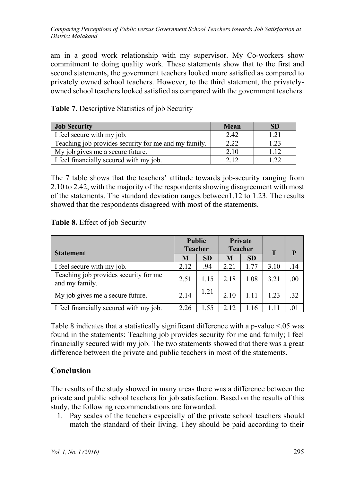am in a good work relationship with my supervisor. My Co-workers show commitment to doing quality work. These statements show that to the first and second statements, the government teachers looked more satisfied as compared to privately owned school teachers. However, to the third statement, the privatelyowned school teachers looked satisfied as compared with the government teachers.

| <b>Job Security</b>                                  | Mean | SD |
|------------------------------------------------------|------|----|
| I feel secure with my job.                           | 2.42 |    |
| Teaching job provides security for me and my family. | 2.22 |    |
| My job gives me a secure future.                     | 2.10 |    |
| I feel financially secured with my job.              | 212  |    |

**Table 7**. Descriptive Statistics of job Security

The 7 table shows that the teachers' attitude towards job-security ranging from 2.10 to 2.42, with the majority of the respondents showing disagreement with most of the statements. The standard deviation ranges between1.12 to 1.23. The results showed that the respondents disagreed with most of the statements.

#### **Table 8.** Effect of job Security

| <b>Statement</b>                                        |      | <b>Public</b><br><b>Teacher</b> |      | <b>Private</b><br><b>Teacher</b> | Т    | P        |
|---------------------------------------------------------|------|---------------------------------|------|----------------------------------|------|----------|
|                                                         | M    | <b>SD</b>                       | M    | <b>SD</b>                        |      |          |
| I feel secure with my job.                              | 2.12 | .94                             | 2.21 | 1.77                             | 3.10 | .14      |
| Teaching job provides security for me<br>and my family. | 2.51 | 1.15                            | 2.18 | 1.08                             | 3.21 | .00      |
| My job gives me a secure future.                        | 2.14 | 1.21                            | 2.10 | 1.11                             | 1.23 | $32^{1}$ |
| I feel financially secured with my job.                 | 2.26 | 1.55                            | 2.12 | 1.16                             | 1.11 | .01      |

Table 8 indicates that a statistically significant difference with a p-value <.05 was found in the statements: Teaching job provides security for me and family; I feel financially secured with my job. The two statements showed that there was a great difference between the private and public teachers in most of the statements.

## **Conclusion**

The results of the study showed in many areas there was a difference between the private and public school teachers for job satisfaction. Based on the results of this study, the following recommendations are forwarded.

1. Pay scales of the teachers especially of the private school teachers should match the standard of their living. They should be paid according to their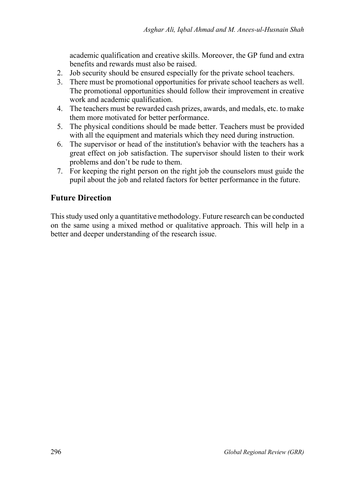academic qualification and creative skills. Moreover, the GP fund and extra benefits and rewards must also be raised.

- 2. Job security should be ensured especially for the private school teachers.
- 3. There must be promotional opportunities for private school teachers as well. The promotional opportunities should follow their improvement in creative work and academic qualification.
- 4. The teachers must be rewarded cash prizes, awards, and medals, etc. to make them more motivated for better performance.
- 5. The physical conditions should be made better. Teachers must be provided with all the equipment and materials which they need during instruction.
- 6. The supervisor or head of the institution's behavior with the teachers has a great effect on job satisfaction. The supervisor should listen to their work problems and don't be rude to them.
- 7. For keeping the right person on the right job the counselors must guide the pupil about the job and related factors for better performance in the future.

## **Future Direction**

This study used only a quantitative methodology. Future research can be conducted on the same using a mixed method or qualitative approach. This will help in a better and deeper understanding of the research issue.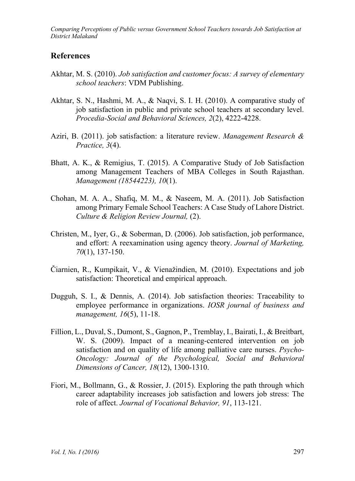### **References**

- Akhtar, M. S. (2010). *Job satisfaction and customer focus: A survey of elementary school teachers*: VDM Publishing.
- Akhtar, S. N., Hashmi, M. A., & Naqvi, S. I. H. (2010). A comparative study of job satisfaction in public and private school teachers at secondary level. *Procedia-Social and Behavioral Sciences, 2*(2), 4222-4228.
- Aziri, B. (2011). job satisfaction: a literature review. *Management Research & Practice, 3*(4).
- Bhatt, A. K., & Remigius, T. (2015). A Comparative Study of Job Satisfaction among Management Teachers of MBA Colleges in South Rajasthan. *Management (18544223), 10*(1).
- Chohan, M. A. A., Shafiq, M. M., & Naseem, M. A. (2011). Job Satisfaction among Primary Female School Teachers: A Case Study of Lahore District. *Culture & Religion Review Journal,* (2).
- Christen, M., Iyer, G., & Soberman, D. (2006). Job satisfaction, job performance, and effort: A reexamination using agency theory. *Journal of Marketing, 70*(1), 137-150.
- Čiarnien, R., Kumpikait, V., & Vienažindien, M. (2010). Expectations and job satisfaction: Theoretical and empirical approach.
- Dugguh, S. I., & Dennis, A. (2014). Job satisfaction theories: Traceability to employee performance in organizations. *IOSR journal of business and management, 16*(5), 11-18.
- Fillion, L., Duval, S., Dumont, S., Gagnon, P., Tremblay, I., Bairati, I., & Breitbart, W. S. (2009). Impact of a meaning-centered intervention on job satisfaction and on quality of life among palliative care nurses. *Psycho‐ Oncology: Journal of the Psychological, Social and Behavioral Dimensions of Cancer, 18*(12), 1300-1310.
- Fiori, M., Bollmann, G., & Rossier, J. (2015). Exploring the path through which career adaptability increases job satisfaction and lowers job stress: The role of affect. *Journal of Vocational Behavior, 91*, 113-121.